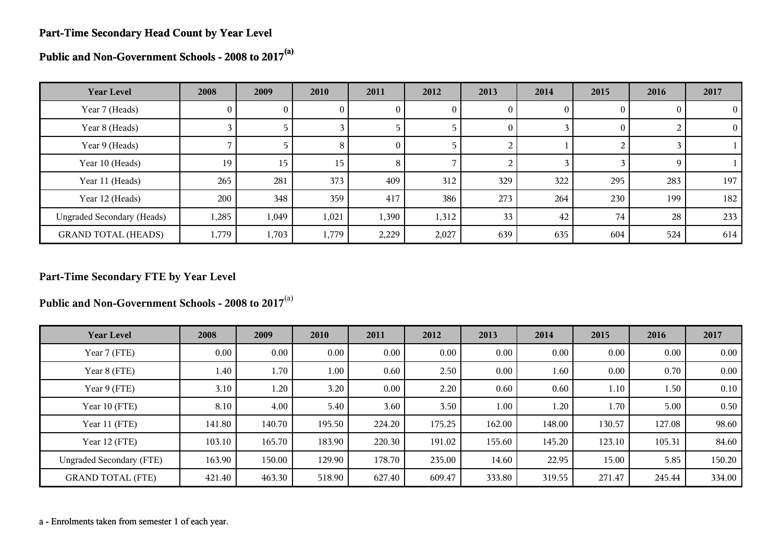#### **Part-Time Secondary Head Count by Year Level**

**Public and Non-Government Schools - 2008 to 2017(a)**

| <b>Year Level</b>                 | 2008     | 2009  | 2010     | 2011     | 2012  | 2013     | 2014 | 2015     | 2016 | 2017     |
|-----------------------------------|----------|-------|----------|----------|-------|----------|------|----------|------|----------|
| Year 7 (Heads)                    | $\theta$ | 0     | $\theta$ | O        | O     | $\Omega$ | 0    | $\theta$ |      | $\Omega$ |
| Year 8 (Heads)                    |          |       |          |          |       | $\theta$ |      | $\theta$ |      | $\Omega$ |
| Year 9 (Heads)                    |          |       | 8        | $\Omega$ |       |          |      |          |      |          |
| Year 10 (Heads)                   | 19       | 15    | 15       | 8        |       |          |      |          |      |          |
| Year 11 (Heads)                   | 265      | 281   | 373      | 409      | 312   | 329      | 322  | 295      | 283  | 197      |
| Year 12 (Heads)                   | 200      | 348   | 359      | 417      | 386   | 273      | 264  | 230      | 199  | 182      |
| <b>Ungraded Secondary (Heads)</b> | 1,285    | 1,049 | 1,021    | 1,390    | 1,312 | 33       | 42   | 74       | 28   | 233      |
| <b>GRAND TOTAL (HEADS)</b>        | 1,779    | 1,703 | 1,779    | 2,229    | 2,027 | 639      | 635  | 604      | 524  | 614      |

# **Part-Time Secondary FTE by Year Level**

**Public and Non-Government Schools - 2008 to 2017**(a)

| <b>Year Level</b>               | 2008   | 2009   | 2010   | 2011     | 2012   | 2013     | 2014   | 2015   | 2016   | 2017     |
|---------------------------------|--------|--------|--------|----------|--------|----------|--------|--------|--------|----------|
| Year 7 (FTE)                    | 0.00   | 0.00   | 0.00   | $0.00\,$ | 0.00   | 0.00     | 0.00   | 0.00   | 0.00   | $0.00\,$ |
| Year 8 (FTE)                    | 1.40   | 1.70   | 1.00   | 0.60     | 2.50   | 0.00     | 1.60   | 0.00   | 0.70   | $0.00\,$ |
| Year 9 (FTE)                    | 3.10   | 1.20   | 3.20   | $0.00\,$ | 2.20   | 0.60     | 0.60   | 1.10   | 1.50   | 0.10     |
| Year 10 (FTE)                   | 8.10   | 4.00   | 5.40   | 3.60     | 3.50   | $1.00\,$ | 1.20   | 1.70   | 5.00   | 0.50     |
| Year 11 (FTE)                   | 141.80 | 140.70 | 195.50 | 224.20   | 175.25 | 162.00   | 148.00 | 130.57 | 127.08 | 98.60    |
| Year 12 (FTE)                   | 103.10 | 165.70 | 183.90 | 220.30   | 191.02 | 155.60   | 145.20 | 123.10 | 105.31 | 84.60    |
| <b>Ungraded Secondary (FTE)</b> | 163.90 | 150.00 | 129.90 | 178.70   | 235.00 | 14.60    | 22.95  | 15.00  | 5.85   | 150.20   |
| <b>GRAND TOTAL (FTE)</b>        | 421.40 | 463.30 | 518.90 | 627.40   | 609.47 | 333.80   | 319.55 | 271.47 | 245.44 | 334.00   |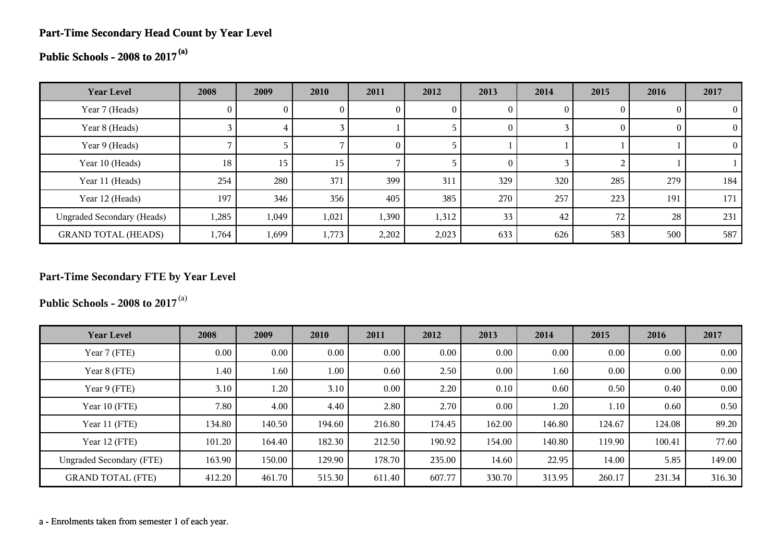# **Part-Time Secondary Head Count by Year Level**

**Public Schools - 2008 to 2017(a)**

| <b>Year Level</b>                 | 2008         | 2009  | 2010  | 2011           | 2012  | 2013           | 2014 | 2015 | 2016 | 2017           |
|-----------------------------------|--------------|-------|-------|----------------|-------|----------------|------|------|------|----------------|
| Year 7 (Heads)                    | $\mathbf{0}$ |       |       | U              | U     | 0              | 0    |      |      | $\theta$       |
| Year 8 (Heads)                    |              | 4     |       |                |       | $\overline{0}$ |      |      |      | $\overline{0}$ |
| Year 9 (Heads)                    |              |       |       | $\overline{0}$ |       |                |      |      |      | $\overline{0}$ |
| Year 10 (Heads)                   | 18           | 15    | 15    |                |       | $\Omega$       |      |      |      |                |
| Year 11 (Heads)                   | 254          | 280   | 371   | 399            | 311   | 329            | 320  | 285  | 279  | 184            |
| Year 12 (Heads)                   | 197          | 346   | 356   | 405            | 385   | 270            | 257  | 223  | 191  | 171            |
| <b>Ungraded Secondary (Heads)</b> | 1,285        | 1,049 | 1,021 | 1,390          | 1,312 | 33             | 42   | 72   | 28   | 231            |
| <b>GRAND TOTAL (HEADS)</b>        | 1,764        | 1,699 | 1,773 | 2,202          | 2,023 | 633            | 626  | 583  | 500  | 587            |

# **Part-Time Secondary FTE by Year Level**

**Public Schools - 2008 to 2017**(a)

| <b>Year Level</b>               | 2008   | 2009     | 2010     | 2011   | 2012   | 2013   | 2014   | 2015     | 2016   | 2017   |
|---------------------------------|--------|----------|----------|--------|--------|--------|--------|----------|--------|--------|
| Year 7 (FTE)                    | 0.00   | $0.00\,$ | $0.00\,$ | 0.00   | 0.00   | 0.00   | 0.00   | $0.00\,$ | 0.00   | 0.00   |
| Year 8 (FTE)                    | 1.40   | 1.60     | 1.00     | 0.60   | 2.50   | 0.00   | 1.60   | 0.00     | 0.00   | 0.00   |
| Year 9 (FTE)                    | 3.10   | 1.20     | 3.10     | 0.00   | 2.20   | 0.10   | 0.60   | 0.50     | 0.40   | 0.00   |
| Year 10 (FTE)                   | 7.80   | 4.00     | 4.40     | 2.80   | 2.70   | 0.00   | 1.20   | $1.10\,$ | 0.60   | 0.50   |
| Year 11 (FTE)                   | 134.80 | 140.50   | 194.60   | 216.80 | 174.45 | 162.00 | 146.80 | 124.67   | 124.08 | 89.20  |
| Year 12 (FTE)                   | 101.20 | 164.40   | 182.30   | 212.50 | 190.92 | 154.00 | 140.80 | 119.90   | 100.41 | 77.60  |
| <b>Ungraded Secondary (FTE)</b> | 163.90 | 150.00   | 129.90   | 178.70 | 235.00 | 14.60  | 22.95  | 14.00    | 5.85   | 149.00 |
| <b>GRAND TOTAL (FTE)</b>        | 412.20 | 461.70   | 515.30   | 611.40 | 607.77 | 330.70 | 313.95 | 260.17   | 231.34 | 316.30 |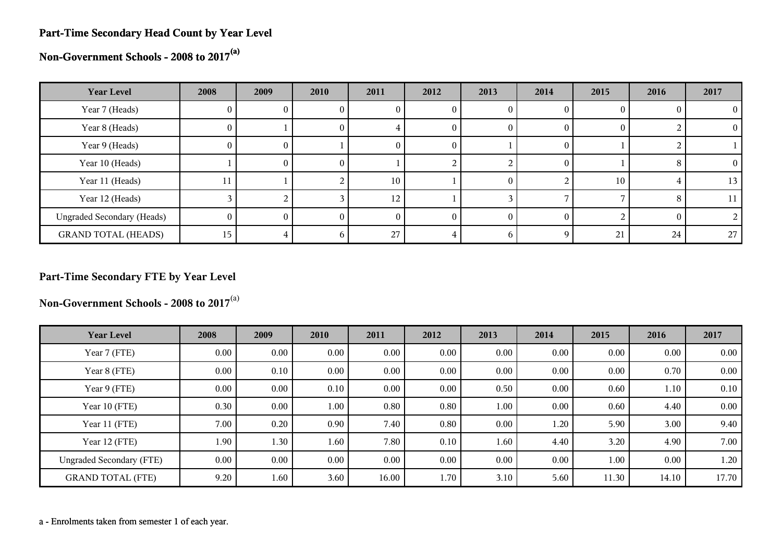#### **Part-Time Secondary Head Count by Year Level**

**Non-Government Schools - 2008 to 2017(a)**

| <b>Year Level</b>                 | 2008 | 2009     | 2010 | 2011     | 2012     | 2013         | 2014     | 2015 | 2016 | 2017     |
|-----------------------------------|------|----------|------|----------|----------|--------------|----------|------|------|----------|
| Year 7 (Heads)                    | U.   |          |      | U        |          |              |          |      |      |          |
| Year 8 (Heads)                    | 0    |          | U.   |          | U        |              | $_{0}$   |      |      | $\Omega$ |
| Year 9 (Heads)                    | 0    | O.       |      | U        | U        |              | $\theta$ |      |      |          |
| Year 10 (Heads)                   |      | $\Omega$ | 0.   |          |          |              | $\theta$ |      |      | 0        |
| Year 11 (Heads)                   | 11   |          |      | 10       |          |              |          | 10   |      | 13       |
| Year 12 (Heads)                   |      |          |      | 12       |          |              |          |      |      | 11       |
| <b>Ungraded Secondary (Heads)</b> | 0    | 0        | O    | $\left($ | $\theta$ |              | $\theta$ |      |      |          |
| <b>GRAND TOTAL (HEADS)</b>        | 15   | 4        | n    | 27       |          | <sub>0</sub> | Q        | 21   | 24   | 27       |

# **Part-Time Secondary FTE by Year Level**

**Non-Government Schools - 2008 to 2017**(a)

| <b>Year Level</b>               | 2008 | 2009     | 2010     | 2011  | 2012     | 2013 | 2014 | 2015  | 2016     | 2017  |
|---------------------------------|------|----------|----------|-------|----------|------|------|-------|----------|-------|
| Year 7 (FTE)                    | 0.00 | $0.00\,$ | $0.00\,$ | 0.00  | 0.00     | 0.00 | 0.00 | 0.00  | 0.00     | 0.00  |
| Year 8 (FTE)                    | 0.00 | 0.10     | 0.00     | 0.00  | 0.00     | 0.00 | 0.00 | 0.00  | 0.70     | 0.00  |
| Year 9 (FTE)                    | 0.00 | $0.00\,$ | 0.10     | 0.00  | 0.00     | 0.50 | 0.00 | 0.60  | 1.10     | 0.10  |
| Year 10 (FTE)                   | 0.30 | $0.00\,$ | 1.00     | 0.80  | 0.80     | 1.00 | 0.00 | 0.60  | 4.40     | 0.00  |
| Year 11 (FTE)                   | 7.00 | 0.20     | 0.90     | 7.40  | 0.80     | 0.00 | 1.20 | 5.90  | 3.00     | 9.40  |
| Year 12 (FTE)                   | 1.90 | 1.30     | 1.60     | 7.80  | 0.10     | 1.60 | 4.40 | 3.20  | 4.90     | 7.00  |
| <b>Ungraded Secondary (FTE)</b> | 0.00 | 0.00     | $0.00\,$ | 0.00  | $0.00\,$ | 0.00 | 0.00 | 1.00  | $0.00\,$ | 1.20  |
| <b>GRAND TOTAL (FTE)</b>        | 9.20 | 1.60     | 3.60     | 16.00 | 1.70     | 3.10 | 5.60 | 11.30 | 14.10    | 17.70 |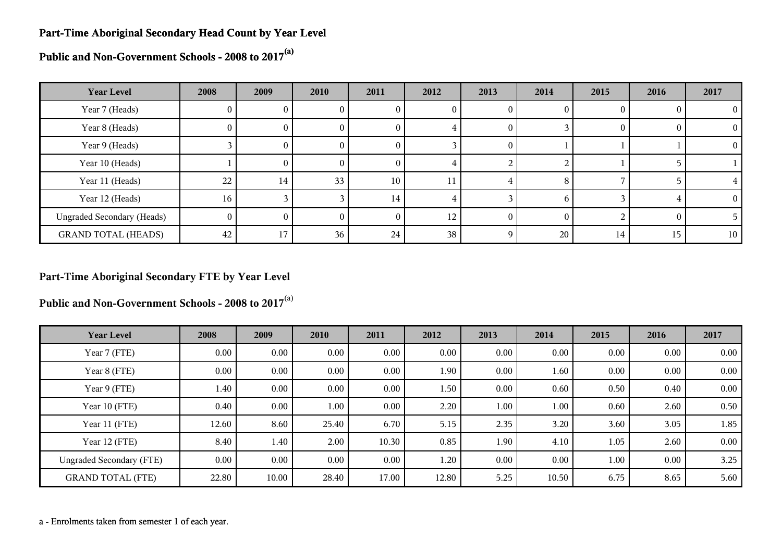#### **Part-Time Aboriginal Secondary Head Count by Year Level**

**Public and Non-Government Schools - 2008 to 2017(a)**

| <b>Year Level</b>                 | 2008            | 2009     | 2010            | 2011            | 2012 | 2013             | 2014 | 2015 | 2016     | 2017           |
|-----------------------------------|-----------------|----------|-----------------|-----------------|------|------------------|------|------|----------|----------------|
| Year 7 (Heads)                    | U               | $\theta$ | U.              |                 | U    | U                | O    |      |          | $\overline{0}$ |
| Year 8 (Heads)                    | 0               | $\theta$ | 0               | O               |      | U                |      |      | $\theta$ | $\theta$       |
| Year 9 (Heads)                    |                 | $\bf{0}$ | $\theta$        | 0               |      | $\theta$         |      |      |          | $\theta$       |
| Year 10 (Heads)                   |                 | $\theta$ | 0               |                 |      |                  |      |      |          |                |
| Year 11 (Heads)                   | 22              | 14       | 33 <sup>2</sup> | 10 <sub>1</sub> | 11   |                  | 8    |      |          |                |
| Year 12 (Heads)                   | 16 <sub>1</sub> |          |                 | 14              |      |                  | h    |      |          | $\overline{0}$ |
| <b>Ungraded Secondary (Heads)</b> | $\overline{0}$  | $\theta$ | 0               | $\theta$        | 12   | $\left( \right)$ |      |      |          |                |
| <b>GRAND TOTAL (HEADS)</b>        | 42              | 17       | 36              | 24              | 38   |                  | 20   | 14   | 15       | 10             |

#### **Part-Time Aboriginal Secondary FTE by Year Level**

**Public and Non-Government Schools - 2008 to 2017**(a)

| <b>Year Level</b>               | 2008     | 2009  | 2010     | 2011     | 2012  | 2013 | 2014     | 2015 | 2016 | 2017     |
|---------------------------------|----------|-------|----------|----------|-------|------|----------|------|------|----------|
| Year 7 (FTE)                    | 0.00     | 0.00  | 0.00     | $0.00\,$ | 0.00  | 0.00 | 0.00     | 0.00 | 0.00 | 0.00     |
| Year 8 (FTE)                    | $0.00\,$ | 0.00  | $0.00\,$ | $0.00\,$ | 1.90  | 0.00 | 1.60     | 0.00 | 0.00 | $0.00\,$ |
| Year 9 (FTE)                    | 1.40     | 0.00  | $0.00\,$ | $0.00\,$ | 1.50  | 0.00 | 0.60     | 0.50 | 0.40 | 0.00     |
| Year 10 (FTE)                   | 0.40     | 0.00  | 1.00     | $0.00\,$ | 2.20  | 1.00 | $1.00\,$ | 0.60 | 2.60 | 0.50     |
| Year 11 (FTE)                   | 12.60    | 8.60  | 25.40    | 6.70     | 5.15  | 2.35 | 3.20     | 3.60 | 3.05 | 1.85     |
| Year 12 (FTE)                   | 8.40     | 1.40  | 2.00     | 10.30    | 0.85  | 1.90 | 4.10     | 1.05 | 2.60 | 0.00     |
| <b>Ungraded Secondary (FTE)</b> | 0.00     | 0.00  | 0.00     | $0.00\,$ | 1.20  | 0.00 | 0.00     | 1.00 | 0.00 | 3.25     |
| <b>GRAND TOTAL (FTE)</b>        | 22.80    | 10.00 | 28.40    | 17.00    | 12.80 | 5.25 | 10.50    | 6.75 | 8.65 | 5.60     |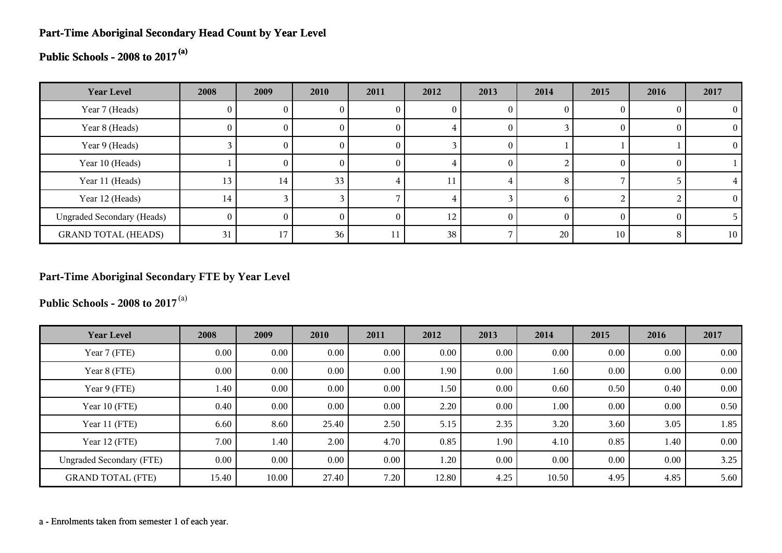## **Part-Time Aboriginal Secondary Head Count by Year Level**

# **Public Schools - 2008 to 2017(a)**

| <b>Year Level</b>                 | 2008           | 2009     | 2010            | 2011 | 2012 | 2013   | 2014 | 2015     | 2016 | 2017     |
|-----------------------------------|----------------|----------|-----------------|------|------|--------|------|----------|------|----------|
| Year 7 (Heads)                    | $\mathbf{0}$   | U.       |                 |      |      | O      |      |          |      | 0        |
| Year 8 (Heads)                    | $\theta$       | U.       |                 | U    |      | 0      |      | O        |      | $\Omega$ |
| Year 9 (Heads)                    |                | $\theta$ | O               | O    |      | $_{0}$ |      |          |      | $\theta$ |
| Year 10 (Heads)                   |                | $\theta$ | 0               | O    |      | $_{0}$ |      | $\theta$ |      |          |
| Year 11 (Heads)                   | 13             | 14       | 33 <sub>1</sub> |      |      |        | 8    |          |      |          |
| Year 12 (Heads)                   | 14             |          |                 |      |      |        | h    |          |      | $\Omega$ |
| <b>Ungraded Secondary (Heads)</b> | $\overline{0}$ | $_{0}$   | $^{(1)}$        | O    | 12   |        |      | $\theta$ |      |          |
| <b>GRAND TOTAL (HEADS)</b>        | 31             | 17       | 36 <sub>1</sub> | 11   | 38   |        | 20   | 10       |      | 10       |

# **Part-Time Aboriginal Secondary FTE by Year Level**

**Public Schools - 2008 to 2017**(a)

| <b>Year Level</b>               | 2008  | 2009     | 2010     | 2011 | 2012  | 2013 | 2014  | 2015     | 2016 | 2017 |
|---------------------------------|-------|----------|----------|------|-------|------|-------|----------|------|------|
| Year 7 (FTE)                    | 0.00  | $0.00\,$ | $0.00\,$ | 0.00 | 0.00  | 0.00 | 0.00  | 0.00     | 0.00 | 0.00 |
| Year 8 (FTE)                    | 0.00  | 0.00     | 0.00     | 0.00 | 1.90  | 0.00 | 1.60  | 0.00     | 0.00 | 0.00 |
| Year 9 (FTE)                    | 1.40  | $0.00\,$ | $0.00\,$ | 0.00 | 1.50  | 0.00 | 0.60  | 0.50     | 0.40 | 0.00 |
| Year 10 (FTE)                   | 0.40  | $0.00\,$ | $0.00\,$ | 0.00 | 2.20  | 0.00 | 1.00  | $0.00\,$ | 0.00 | 0.50 |
| Year 11 (FTE)                   | 6.60  | 8.60     | 25.40    | 2.50 | 5.15  | 2.35 | 3.20  | 3.60     | 3.05 | 1.85 |
| Year 12 (FTE)                   | 7.00  | 1.40     | 2.00     | 4.70 | 0.85  | 1.90 | 4.10  | 0.85     | 1.40 | 0.00 |
| <b>Ungraded Secondary (FTE)</b> | 0.00  | 0.00     | $0.00\,$ | 0.00 | 1.20  | 0.00 | 0.00  | $0.00\,$ | 0.00 | 3.25 |
| <b>GRAND TOTAL (FTE)</b>        | 15.40 | 10.00    | 27.40    | 7.20 | 12.80 | 4.25 | 10.50 | 4.95     | 4.85 | 5.60 |

a - Enrolments taken from semester 1 of each year.